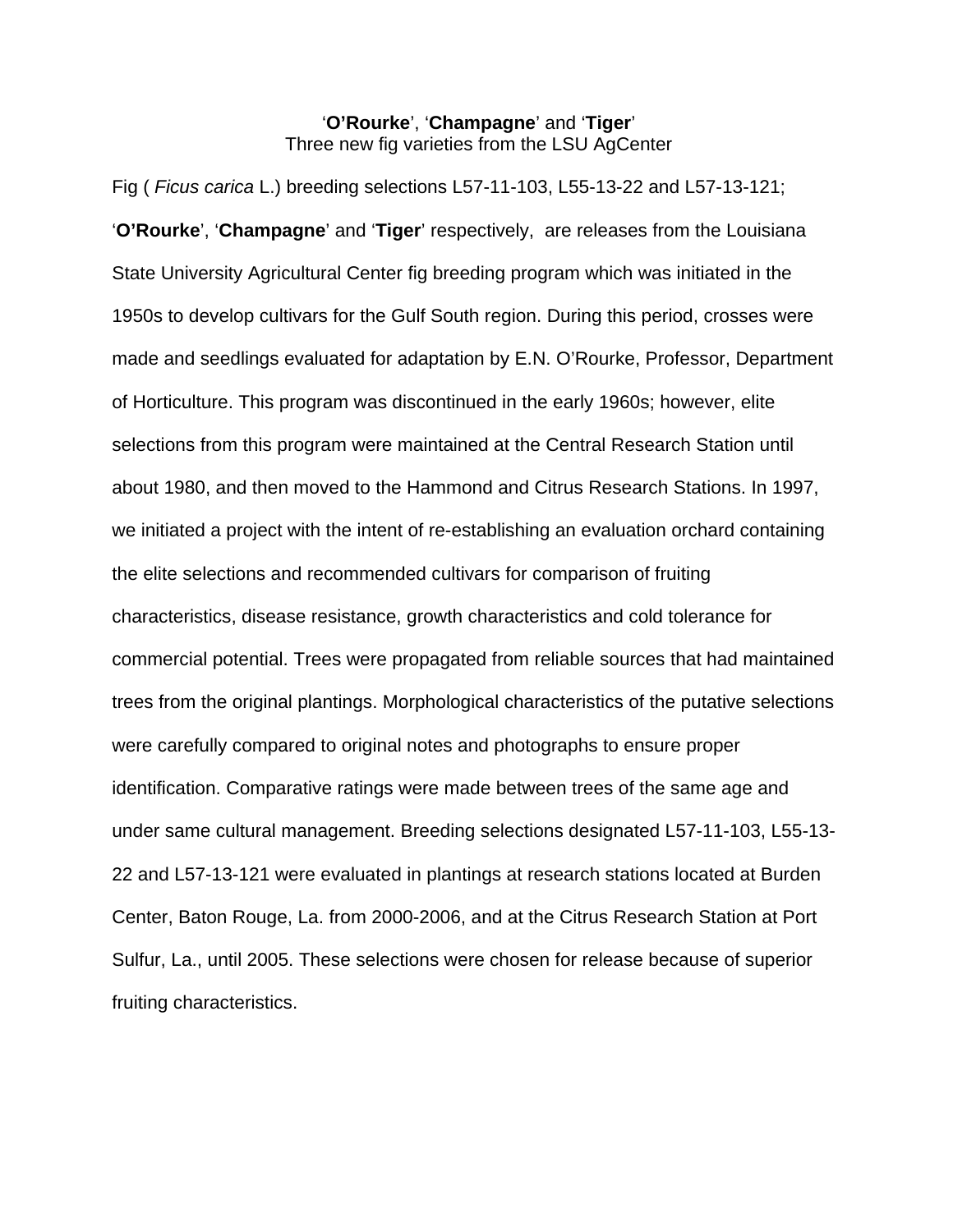# '**O'Rourke**', '**Champagne**' and '**Tiger**' Three new fig varieties from the LSU AgCenter

Fig ( *Ficus carica* L.) breeding selections L57-11-103, L55-13-22 and L57-13-121; '**O'Rourke**', '**Champagne**' and '**Tiger**' respectively, are releases from the Louisiana State University Agricultural Center fig breeding program which was initiated in the 1950s to develop cultivars for the Gulf South region. During this period, crosses were made and seedlings evaluated for adaptation by E.N. O'Rourke, Professor, Department of Horticulture. This program was discontinued in the early 1960s; however, elite selections from this program were maintained at the Central Research Station until about 1980, and then moved to the Hammond and Citrus Research Stations. In 1997, we initiated a project with the intent of re-establishing an evaluation orchard containing the elite selections and recommended cultivars for comparison of fruiting characteristics, disease resistance, growth characteristics and cold tolerance for commercial potential. Trees were propagated from reliable sources that had maintained trees from the original plantings. Morphological characteristics of the putative selections were carefully compared to original notes and photographs to ensure proper identification. Comparative ratings were made between trees of the same age and under same cultural management. Breeding selections designated L57-11-103, L55-13- 22 and L57-13-121 were evaluated in plantings at research stations located at Burden Center, Baton Rouge, La. from 2000-2006, and at the Citrus Research Station at Port Sulfur, La., until 2005. These selections were chosen for release because of superior fruiting characteristics.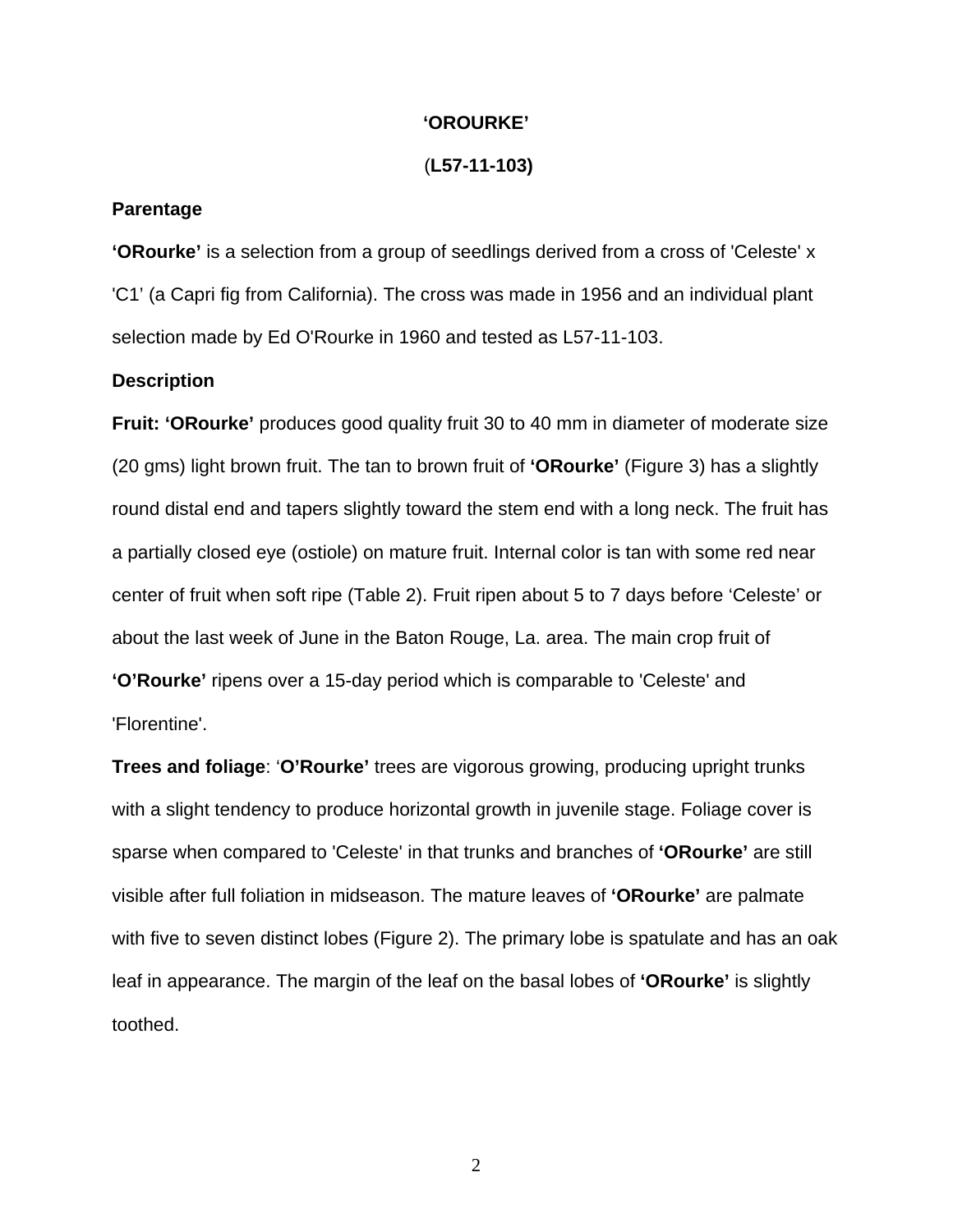#### **'OROURKE'**

#### (**L57-11-103)**

## **Parentage**

**'ORourke'** is a selection from a group of seedlings derived from a cross of 'Celeste' x 'C1' (a Capri fig from California). The cross was made in 1956 and an individual plant selection made by Ed O'Rourke in 1960 and tested as L57-11-103.

## **Description**

**Fruit: 'ORourke'** produces good quality fruit 30 to 40 mm in diameter of moderate size (20 gms) light brown fruit. The tan to brown fruit of **'ORourke'** (Figure 3) has a slightly round distal end and tapers slightly toward the stem end with a long neck. The fruit has a partially closed eye (ostiole) on mature fruit. Internal color is tan with some red near center of fruit when soft ripe (Table 2). Fruit ripen about 5 to 7 days before 'Celeste' or about the last week of June in the Baton Rouge, La. area. The main crop fruit of **'O'Rourke'** ripens over a 15-day period which is comparable to 'Celeste' and 'Florentine'.

**Trees and foliage**: '**O'Rourke'** trees are vigorous growing, producing upright trunks with a slight tendency to produce horizontal growth in juvenile stage. Foliage cover is sparse when compared to 'Celeste' in that trunks and branches of **'ORourke'** are still visible after full foliation in midseason. The mature leaves of **'ORourke'** are palmate with five to seven distinct lobes (Figure 2). The primary lobe is spatulate and has an oak leaf in appearance. The margin of the leaf on the basal lobes of **'ORourke'** is slightly toothed.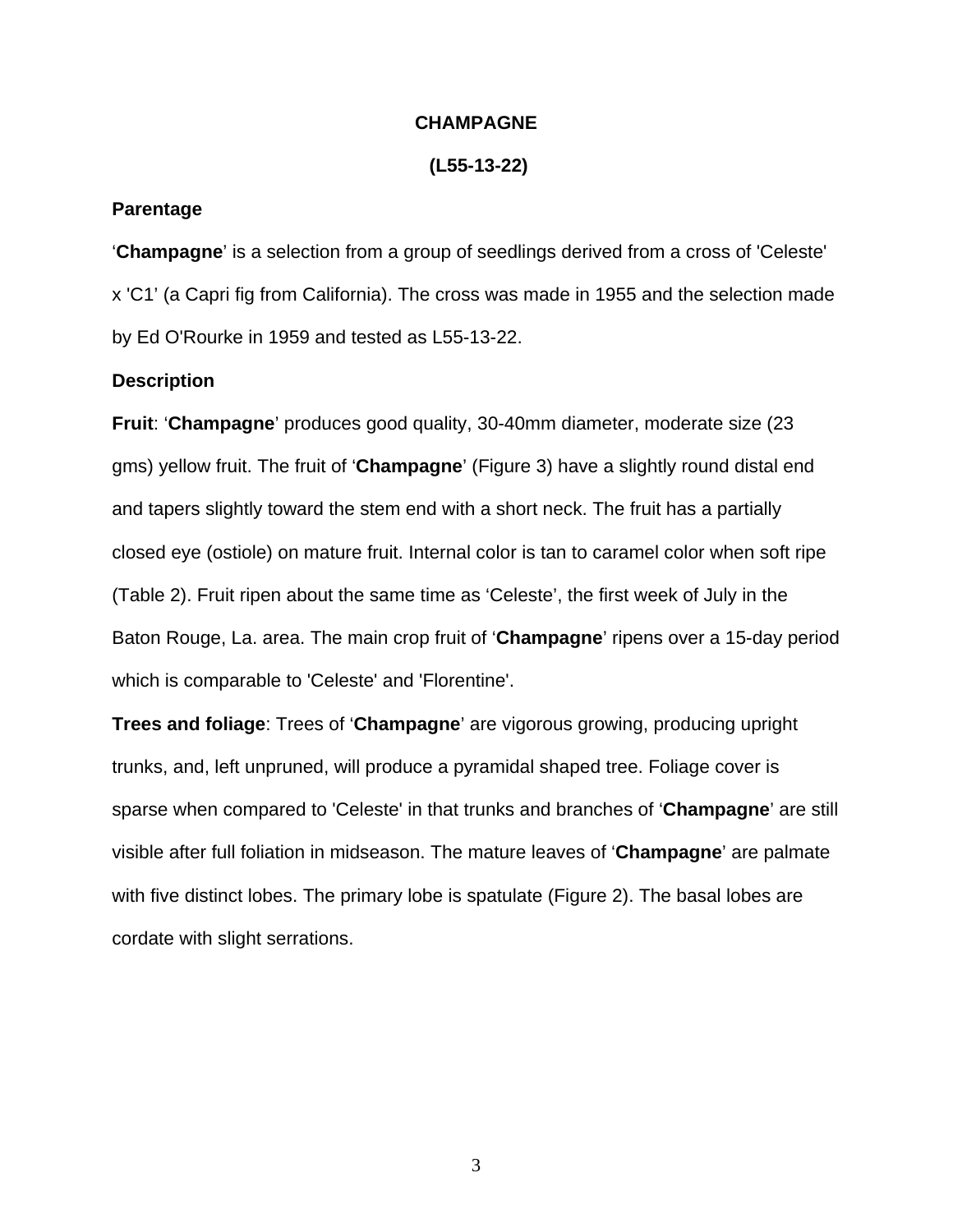## **CHAMPAGNE**

#### **(L55-13-22)**

## **Parentage**

'**Champagne**' is a selection from a group of seedlings derived from a cross of 'Celeste' x 'C1' (a Capri fig from California). The cross was made in 1955 and the selection made by Ed O'Rourke in 1959 and tested as L55-13-22.

## **Description**

**Fruit**: '**Champagne**' produces good quality, 30-40mm diameter, moderate size (23 gms) yellow fruit. The fruit of '**Champagne**' (Figure 3) have a slightly round distal end and tapers slightly toward the stem end with a short neck. The fruit has a partially closed eye (ostiole) on mature fruit. Internal color is tan to caramel color when soft ripe (Table 2). Fruit ripen about the same time as 'Celeste', the first week of July in the Baton Rouge, La. area. The main crop fruit of '**Champagne**' ripens over a 15-day period which is comparable to 'Celeste' and 'Florentine'.

**Trees and foliage**: Trees of '**Champagne**' are vigorous growing, producing upright trunks, and, left unpruned, will produce a pyramidal shaped tree. Foliage cover is sparse when compared to 'Celeste' in that trunks and branches of '**Champagne**' are still visible after full foliation in midseason. The mature leaves of '**Champagne**' are palmate with five distinct lobes. The primary lobe is spatulate (Figure 2). The basal lobes are cordate with slight serrations.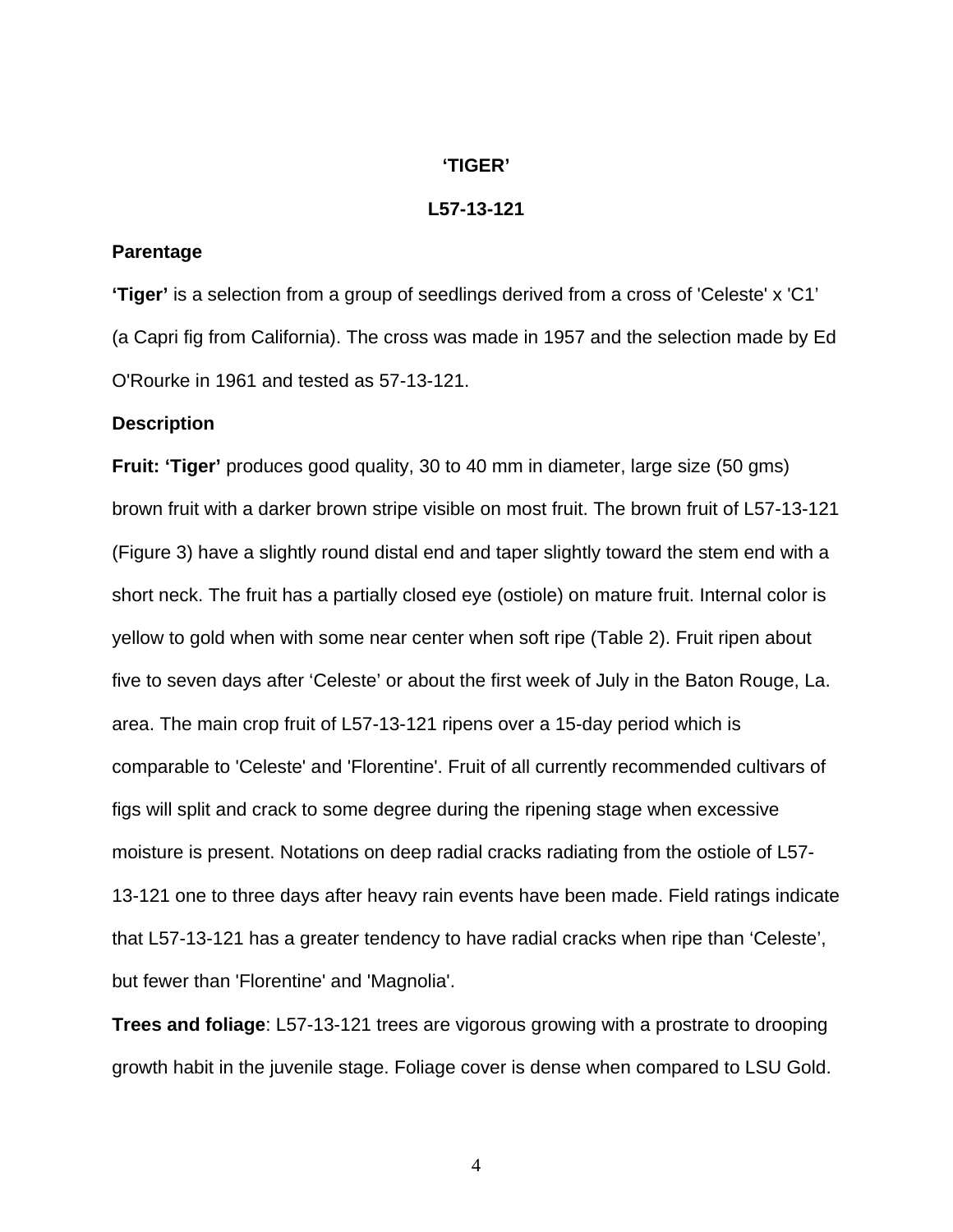## **'TIGER'**

## **L57-13-121**

#### **Parentage**

**'Tiger'** is a selection from a group of seedlings derived from a cross of 'Celeste' x 'C1' (a Capri fig from California). The cross was made in 1957 and the selection made by Ed O'Rourke in 1961 and tested as 57-13-121.

#### **Description**

**Fruit: 'Tiger'** produces good quality, 30 to 40 mm in diameter, large size (50 gms) brown fruit with a darker brown stripe visible on most fruit. The brown fruit of L57-13-121 (Figure 3) have a slightly round distal end and taper slightly toward the stem end with a short neck. The fruit has a partially closed eye (ostiole) on mature fruit. Internal color is yellow to gold when with some near center when soft ripe (Table 2). Fruit ripen about five to seven days after 'Celeste' or about the first week of July in the Baton Rouge, La. area. The main crop fruit of L57-13-121 ripens over a 15-day period which is comparable to 'Celeste' and 'Florentine'. Fruit of all currently recommended cultivars of figs will split and crack to some degree during the ripening stage when excessive moisture is present. Notations on deep radial cracks radiating from the ostiole of L57- 13-121 one to three days after heavy rain events have been made. Field ratings indicate that L57-13-121 has a greater tendency to have radial cracks when ripe than 'Celeste', but fewer than 'Florentine' and 'Magnolia'.

**Trees and foliage**: L57-13-121 trees are vigorous growing with a prostrate to drooping growth habit in the juvenile stage. Foliage cover is dense when compared to LSU Gold.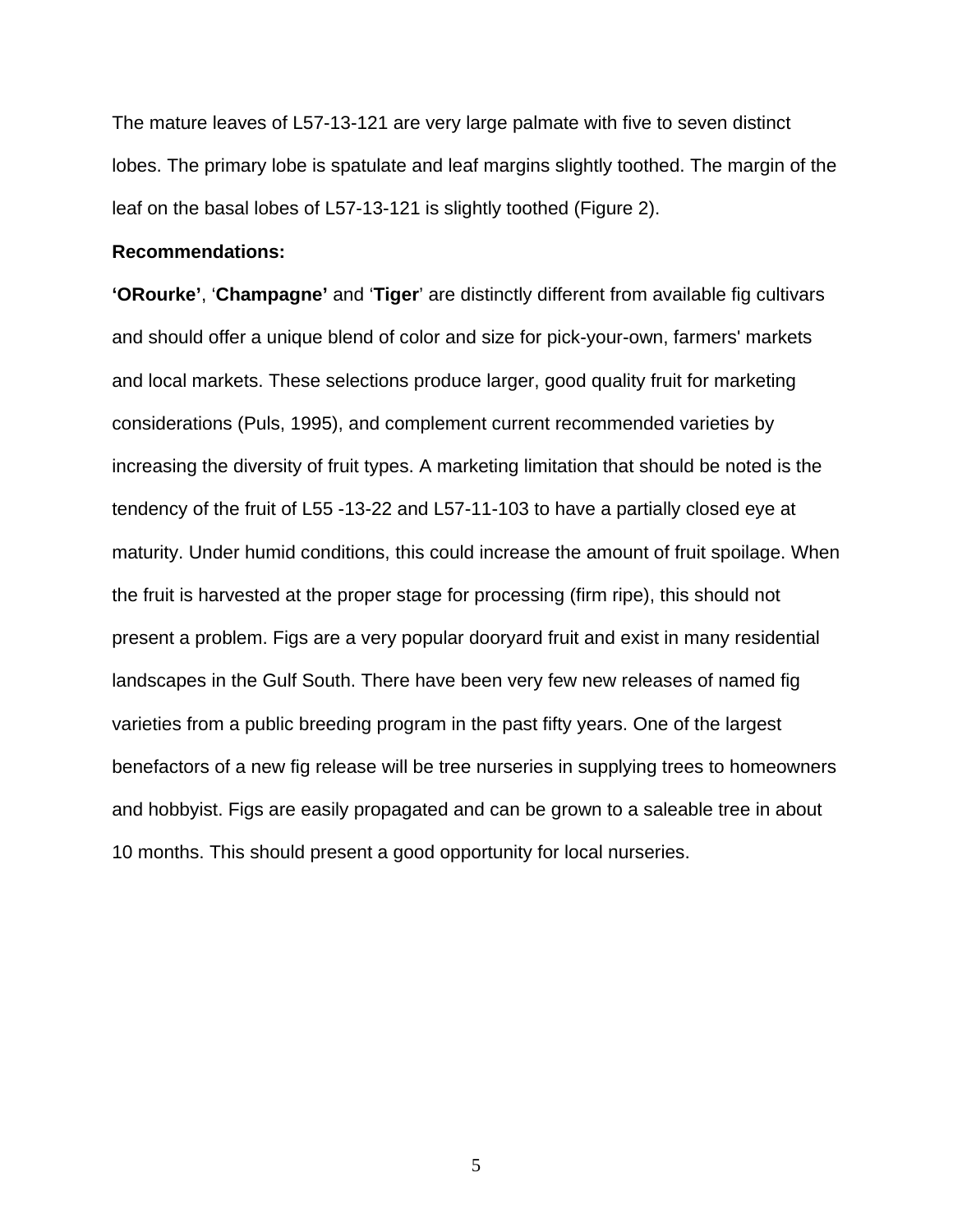The mature leaves of L57-13-121 are very large palmate with five to seven distinct lobes. The primary lobe is spatulate and leaf margins slightly toothed. The margin of the leaf on the basal lobes of L57-13-121 is slightly toothed (Figure 2).

## **Recommendations:**

**'ORourke'**, '**Champagne'** and '**Tiger**' are distinctly different from available fig cultivars and should offer a unique blend of color and size for pick-your-own, farmers' markets and local markets. These selections produce larger, good quality fruit for marketing considerations (Puls, 1995), and complement current recommended varieties by increasing the diversity of fruit types. A marketing limitation that should be noted is the tendency of the fruit of L55 -13-22 and L57-11-103 to have a partially closed eye at maturity. Under humid conditions, this could increase the amount of fruit spoilage. When the fruit is harvested at the proper stage for processing (firm ripe), this should not present a problem. Figs are a very popular dooryard fruit and exist in many residential landscapes in the Gulf South. There have been very few new releases of named fig varieties from a public breeding program in the past fifty years. One of the largest benefactors of a new fig release will be tree nurseries in supplying trees to homeowners and hobbyist. Figs are easily propagated and can be grown to a saleable tree in about 10 months. This should present a good opportunity for local nurseries.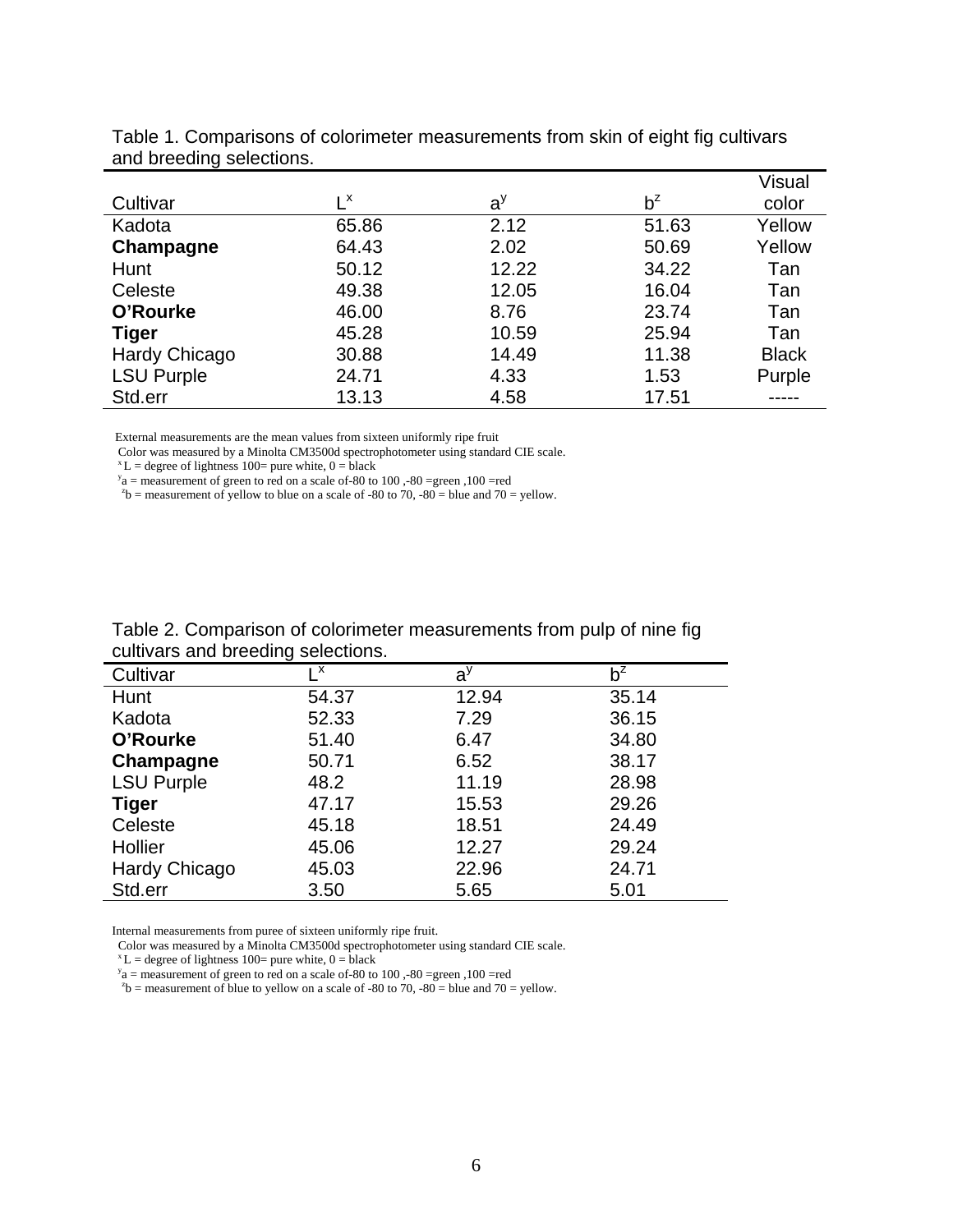|                      |                  |       |       | <b>Visual</b> |
|----------------------|------------------|-------|-------|---------------|
| Cultivar             | $L^{\mathsf{x}}$ | $a^y$ | $b^z$ | color         |
| Kadota               | 65.86            | 2.12  | 51.63 | Yellow        |
| Champagne            | 64.43            | 2.02  | 50.69 | Yellow        |
| Hunt                 | 50.12            | 12.22 | 34.22 | Tan           |
| Celeste              | 49.38            | 12.05 | 16.04 | Tan           |
| O'Rourke             | 46.00            | 8.76  | 23.74 | Tan           |
| <b>Tiger</b>         | 45.28            | 10.59 | 25.94 | Tan           |
| <b>Hardy Chicago</b> | 30.88            | 14.49 | 11.38 | <b>Black</b>  |
| <b>LSU Purple</b>    | 24.71            | 4.33  | 1.53  | Purple        |
| Std.err              | 13.13            | 4.58  | 17.51 |               |

Table 1. Comparisons of colorimeter measurements from skin of eight fig cultivars and breeding selections.

External measurements are the mean values from sixteen uniformly ripe fruit

 ${}^{x}$ L = degree of lightness 100= pure white, 0 = black<br>  ${}^{y}$ a = measurement of green to red on a scale of -80 to 100, -80 = green, 100 = red<br>  ${}^{x}$ b = measurement of yellow to blue on a scale of -80 to 70, -80 = blue

| Table 2. Comparison of colorimeter measurements from pulp of nine fig |  |  |
|-----------------------------------------------------------------------|--|--|
| cultivars and breeding selections.                                    |  |  |

| canneals and procamig colocitorio. |       |       |       |  |  |
|------------------------------------|-------|-------|-------|--|--|
| Cultivar                           | х     | $a^y$ | $b^z$ |  |  |
| Hunt                               | 54.37 | 12.94 | 35.14 |  |  |
| Kadota                             | 52.33 | 7.29  | 36.15 |  |  |
| O'Rourke                           | 51.40 | 6.47  | 34.80 |  |  |
| Champagne                          | 50.71 | 6.52  | 38.17 |  |  |
| <b>LSU Purple</b>                  | 48.2  | 11.19 | 28.98 |  |  |
| <b>Tiger</b>                       | 47.17 | 15.53 | 29.26 |  |  |
| Celeste                            | 45.18 | 18.51 | 24.49 |  |  |
| Hollier                            | 45.06 | 12.27 | 29.24 |  |  |
| Hardy Chicago                      | 45.03 | 22.96 | 24.71 |  |  |
| Std.err                            | 3.50  | 5.65  | 5.01  |  |  |
|                                    |       |       |       |  |  |

Internal measurements from puree of sixteen uniformly ripe fruit.<br>Color was measured by a Minolta CM3500d spectrophotometer using standard CIE scale.<br> ${}^xL =$  degree of lightness 100= pure white, 0 = black

 $v_a$  = measurement of green to red on a scale of -80 to 100, -80 = green, 100 = red<br>  $v_b$  = measurement of blue to yellow on a scale of -80 to 70, -80 = blue and 70 = yellow.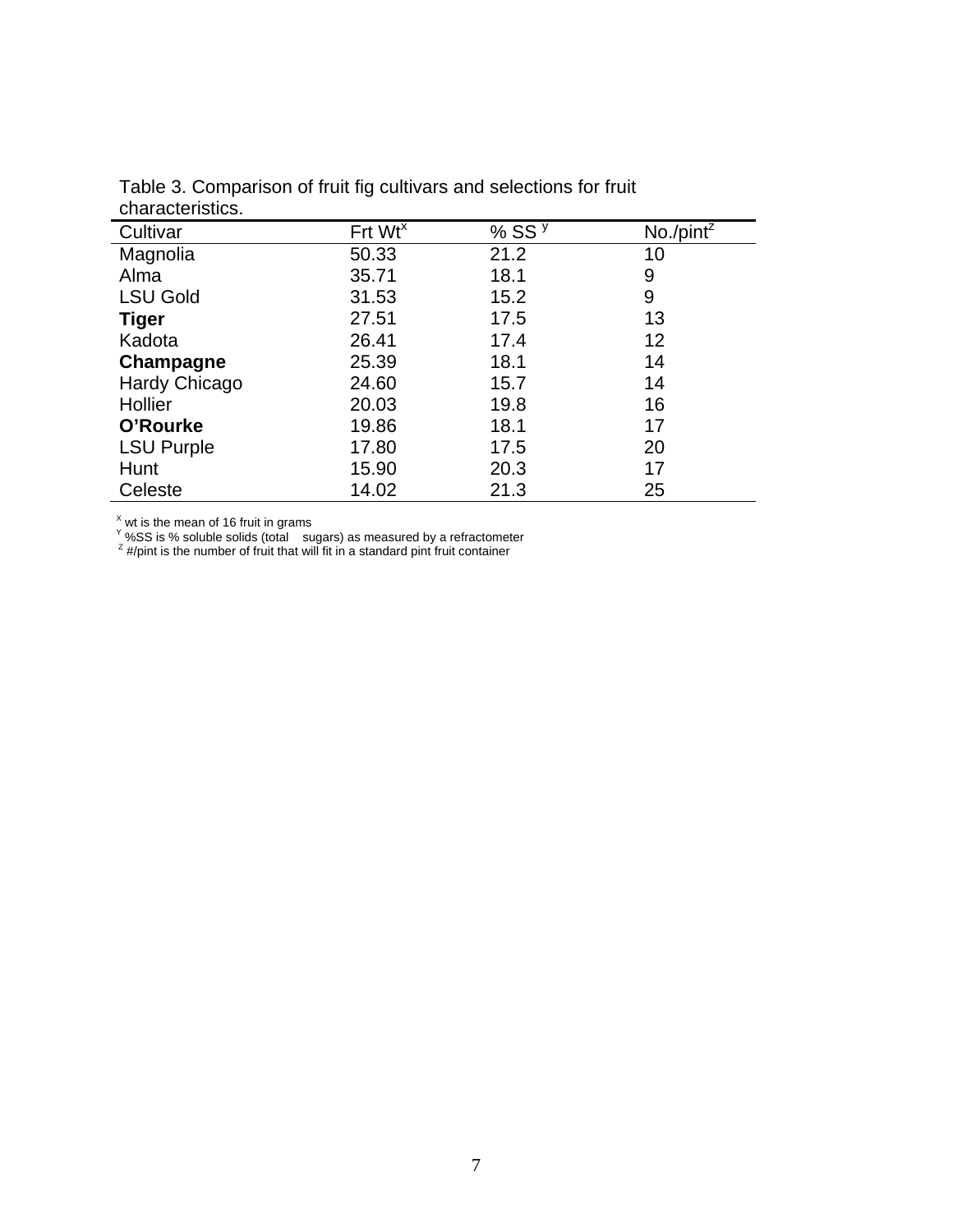| Frt Wt <sup>x</sup> | % SS $y$ | No./pint <sup>z</sup> |
|---------------------|----------|-----------------------|
| 50.33               | 21.2     | 10                    |
| 35.71               | 18.1     | 9                     |
| 31.53               | 15.2     | 9                     |
| 27.51               | 17.5     | 13                    |
| 26.41               | 17.4     | 12                    |
| 25.39               | 18.1     | 14                    |
| 24.60               | 15.7     | 14                    |
| 20.03               | 19.8     | 16                    |
| 19.86               | 18.1     | 17                    |
| 17.80               | 17.5     | 20                    |
| 15.90               | 20.3     | 17                    |
| 14.02               | 21.3     | 25                    |
|                     |          |                       |

Table 3. Comparison of fruit fig cultivars and selections for fruit characteristics.

<sup>X</sup> wt is the mean of 16 fruit in grams<br><sup>Y</sup> %SS is % soluble solids (total sugars) as measured by a refractometer  $\frac{z}{z}$  #/pint is the number of fruit that will fit in a standard pint fruit container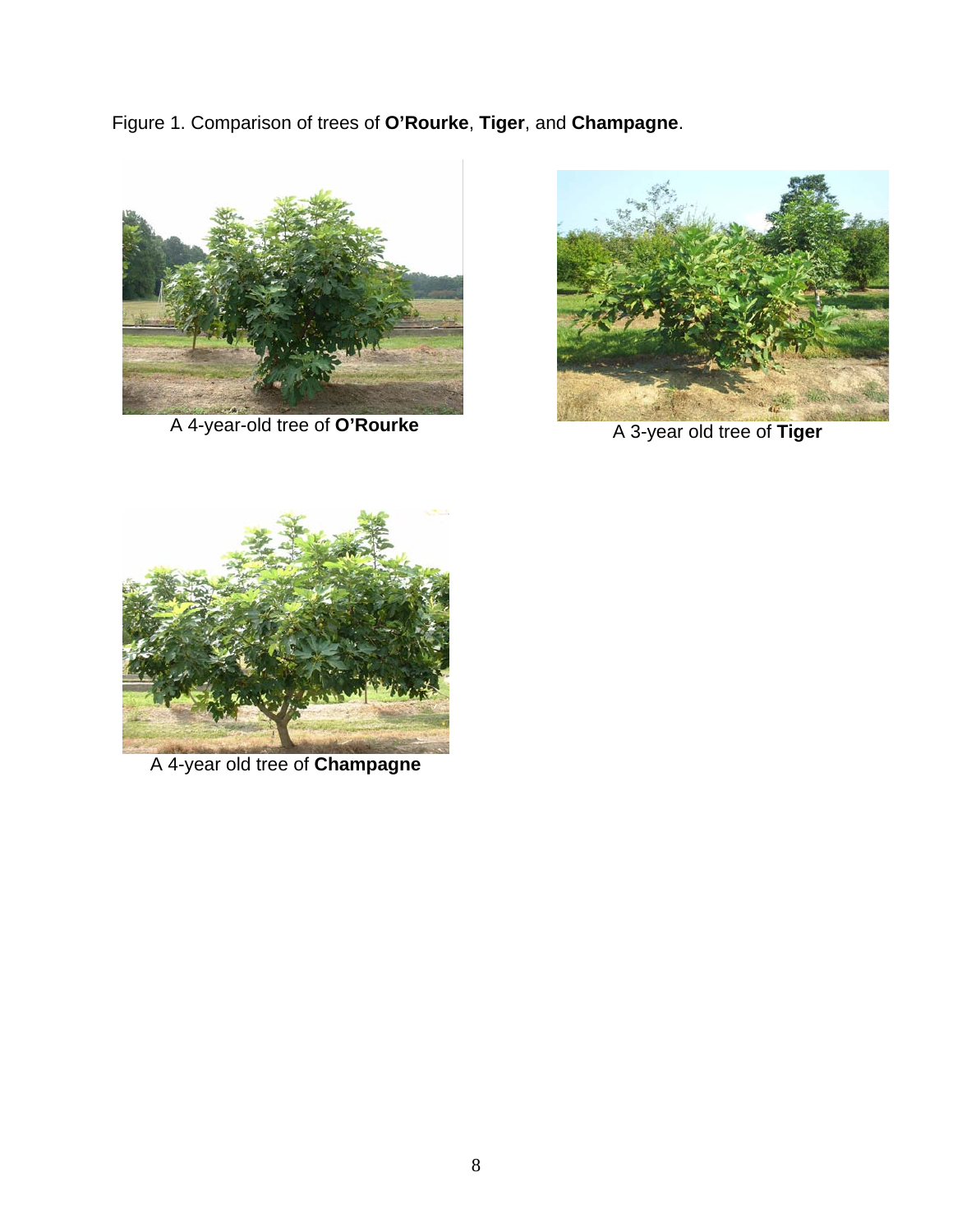Figure 1. Comparison of trees of **O'Rourke**, **Tiger**, and **Champagne**.



A 4-year-old tree of **O'Rourke**



A 3-year old tree of **Tiger**



A 4-year old tree of **Champagne**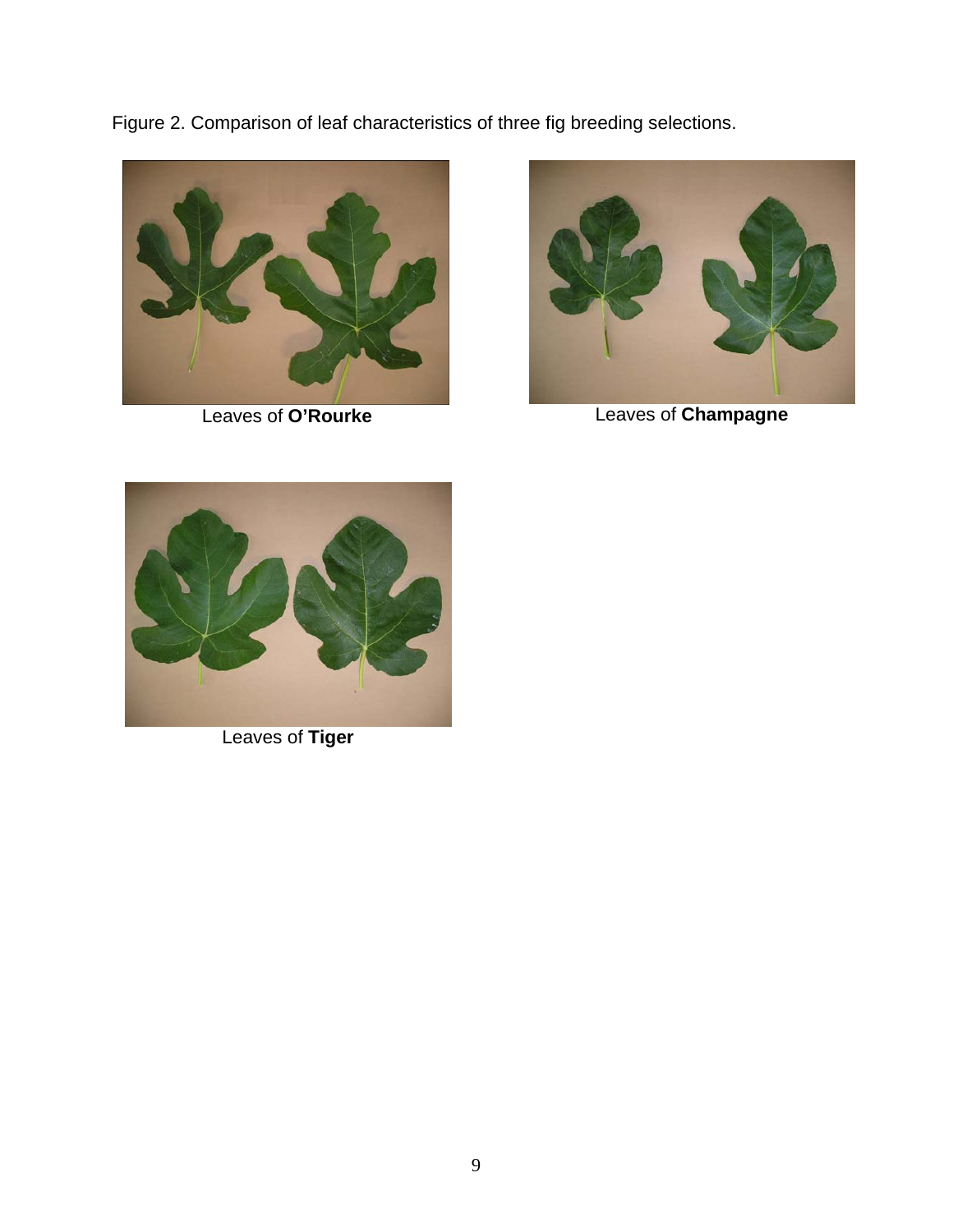Figure 2. Comparison of leaf characteristics of three fig breeding selections.





Leaves of **O'Rourke** Leaves of **Champagne**



Leaves of **Tiger**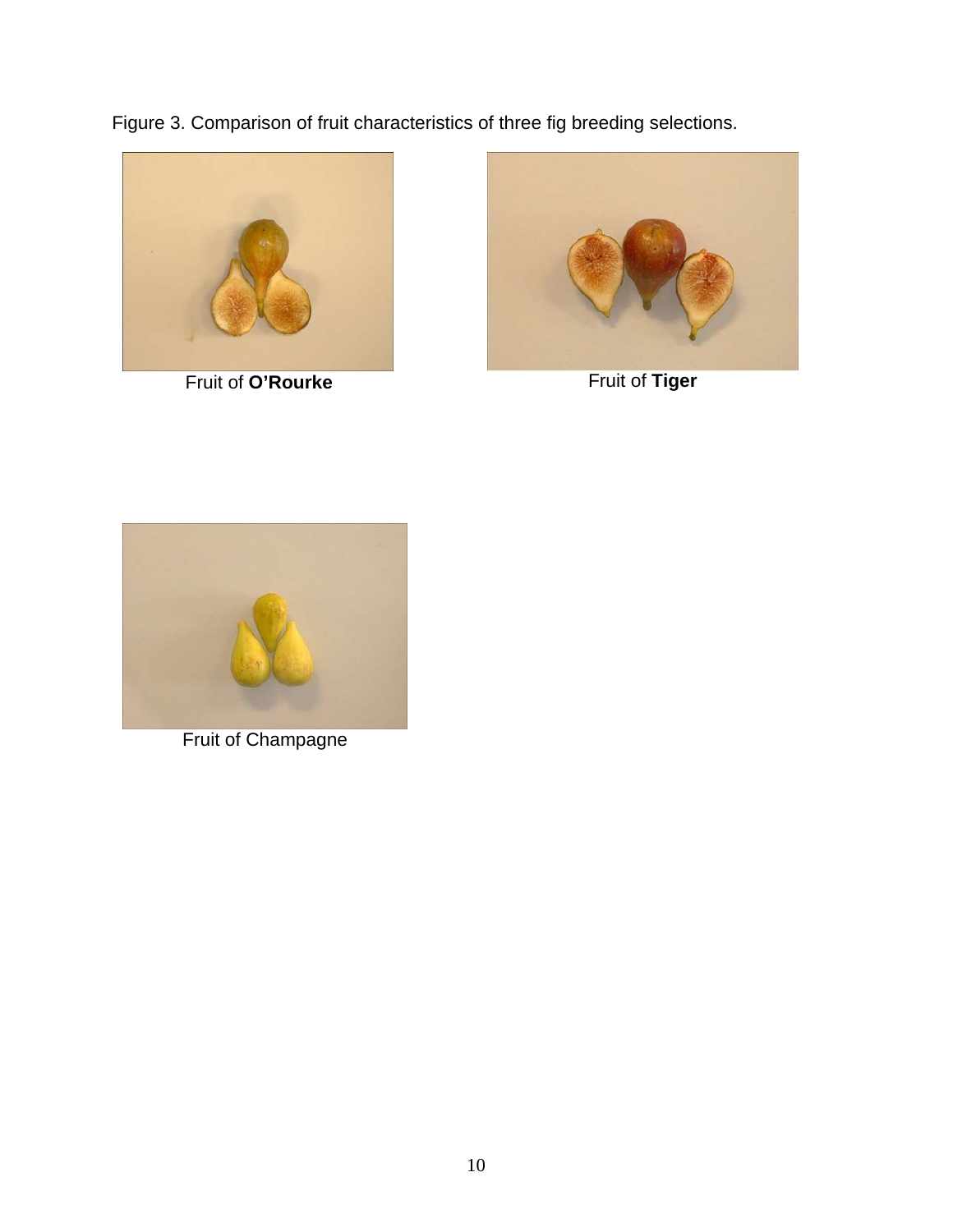Figure 3. Comparison of fruit characteristics of three fig breeding selections.



Fruit of **O'Rourke** Fruit of **Tiger**





Fruit of Champagne